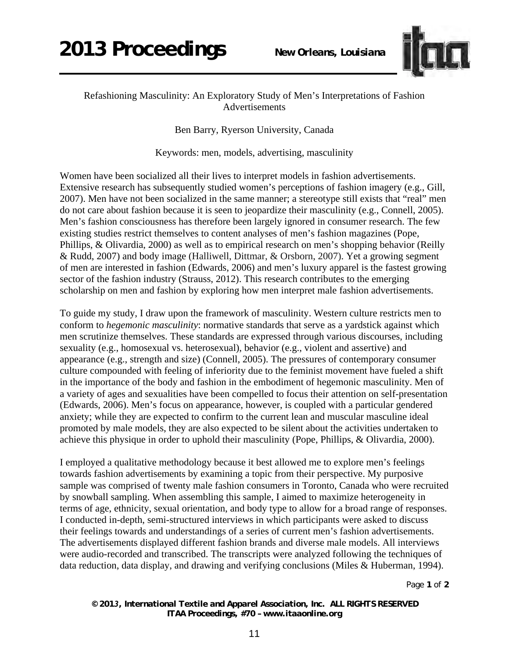

## Refashioning Masculinity: An Exploratory Study of Men's Interpretations of Fashion Advertisements

Ben Barry, Ryerson University, Canada

Keywords: men, models, advertising, masculinity

Women have been socialized all their lives to interpret models in fashion advertisements. Extensive research has subsequently studied women's perceptions of fashion imagery (e.g., Gill, 2007). Men have not been socialized in the same manner; a stereotype still exists that "real" men do not care about fashion because it is seen to jeopardize their masculinity (e.g., Connell, 2005). Men's fashion consciousness has therefore been largely ignored in consumer research. The few existing studies restrict themselves to content analyses of men's fashion magazines (Pope, Phillips, & Olivardia, 2000) as well as to empirical research on men's shopping behavior (Reilly & Rudd, 2007) and body image (Halliwell, Dittmar, & Orsborn, 2007). Yet a growing segment of men are interested in fashion (Edwards, 2006) and men's luxury apparel is the fastest growing sector of the fashion industry (Strauss, 2012). This research contributes to the emerging scholarship on men and fashion by exploring how men interpret male fashion advertisements.

To guide my study, I draw upon the framework of masculinity. Western culture restricts men to conform to *hegemonic masculinity*: normative standards that serve as a yardstick against which men scrutinize themselves. These standards are expressed through various discourses, including sexuality (e.g., homosexual vs. heterosexual), behavior (e.g., violent and assertive) and appearance (e.g., strength and size) (Connell, 2005). The pressures of contemporary consumer culture compounded with feeling of inferiority due to the feminist movement have fueled a shift in the importance of the body and fashion in the embodiment of hegemonic masculinity. Men of a variety of ages and sexualities have been compelled to focus their attention on self-presentation (Edwards, 2006). Men's focus on appearance, however, is coupled with a particular gendered anxiety; while they are expected to confirm to the current lean and muscular masculine ideal promoted by male models, they are also expected to be silent about the activities undertaken to achieve this physique in order to uphold their masculinity (Pope, Phillips, & Olivardia, 2000).

I employed a qualitative methodology because it best allowed me to explore men's feelings towards fashion advertisements by examining a topic from their perspective. My purposive sample was comprised of twenty male fashion consumers in Toronto, Canada who were recruited by snowball sampling. When assembling this sample, I aimed to maximize heterogeneity in terms of age, ethnicity, sexual orientation, and body type to allow for a broad range of responses. I conducted in-depth, semi-structured interviews in which participants were asked to discuss their feelings towards and understandings of a series of current men's fashion advertisements. The advertisements displayed different fashion brands and diverse male models. All interviews were audio-recorded and transcribed. The transcripts were analyzed following the techniques of data reduction, data display, and drawing and verifying conclusions (Miles & Huberman, 1994).

Page **1** of **2** 

*© 2013, International Textile and Apparel Association, Inc. ALL RIGHTS RESERVED ITAA Proceedings, #70 – www.itaaonline.org*